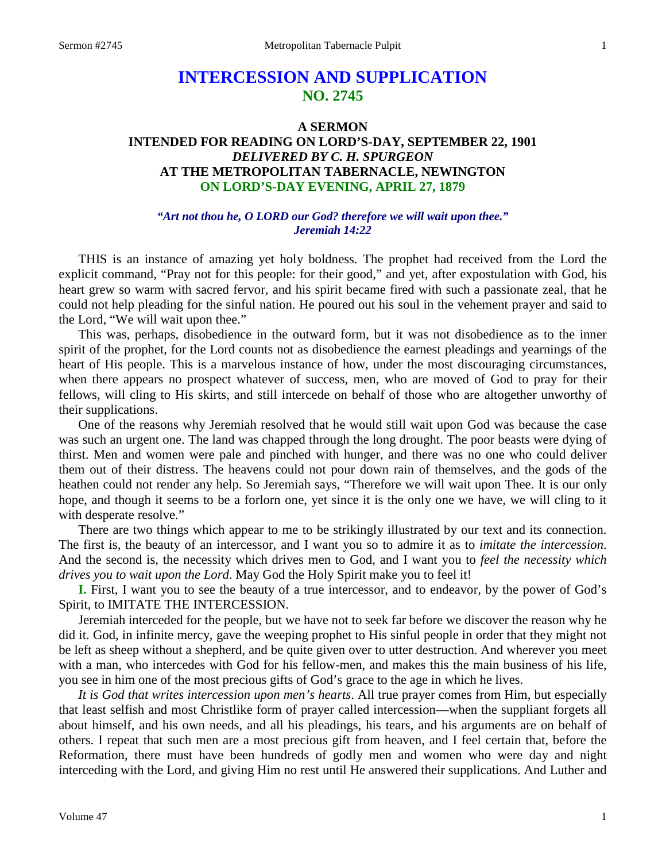# **INTERCESSION AND SUPPLICATION NO. 2745**

## **A SERMON INTENDED FOR READING ON LORD'S-DAY, SEPTEMBER 22, 1901** *DELIVERED BY C. H. SPURGEON* **AT THE METROPOLITAN TABERNACLE, NEWINGTON ON LORD'S-DAY EVENING, APRIL 27, 1879**

## *"Art not thou he, O LORD our God? therefore we will wait upon thee." Jeremiah 14:22*

THIS is an instance of amazing yet holy boldness. The prophet had received from the Lord the explicit command, "Pray not for this people: for their good," and yet, after expostulation with God, his heart grew so warm with sacred fervor, and his spirit became fired with such a passionate zeal, that he could not help pleading for the sinful nation. He poured out his soul in the vehement prayer and said to the Lord, "We will wait upon thee."

This was, perhaps, disobedience in the outward form, but it was not disobedience as to the inner spirit of the prophet, for the Lord counts not as disobedience the earnest pleadings and yearnings of the heart of His people. This is a marvelous instance of how, under the most discouraging circumstances, when there appears no prospect whatever of success, men, who are moved of God to pray for their fellows, will cling to His skirts, and still intercede on behalf of those who are altogether unworthy of their supplications.

One of the reasons why Jeremiah resolved that he would still wait upon God was because the case was such an urgent one. The land was chapped through the long drought. The poor beasts were dying of thirst. Men and women were pale and pinched with hunger, and there was no one who could deliver them out of their distress. The heavens could not pour down rain of themselves, and the gods of the heathen could not render any help. So Jeremiah says, "Therefore we will wait upon Thee. It is our only hope, and though it seems to be a forlorn one, yet since it is the only one we have, we will cling to it with desperate resolve."

There are two things which appear to me to be strikingly illustrated by our text and its connection. The first is, the beauty of an intercessor, and I want you so to admire it as to *imitate the intercession*. And the second is, the necessity which drives men to God, and I want you to *feel the necessity which drives you to wait upon the Lord*. May God the Holy Spirit make you to feel it!

**I.** First, I want you to see the beauty of a true intercessor, and to endeavor, by the power of God's Spirit, to IMITATE THE INTERCESSION.

Jeremiah interceded for the people, but we have not to seek far before we discover the reason why he did it. God, in infinite mercy, gave the weeping prophet to His sinful people in order that they might not be left as sheep without a shepherd, and be quite given over to utter destruction. And wherever you meet with a man, who intercedes with God for his fellow-men, and makes this the main business of his life, you see in him one of the most precious gifts of God's grace to the age in which he lives.

*It is God that writes intercession upon men's hearts*. All true prayer comes from Him, but especially that least selfish and most Christlike form of prayer called intercession—when the suppliant forgets all about himself, and his own needs, and all his pleadings, his tears, and his arguments are on behalf of others. I repeat that such men are a most precious gift from heaven, and I feel certain that, before the Reformation, there must have been hundreds of godly men and women who were day and night interceding with the Lord, and giving Him no rest until He answered their supplications. And Luther and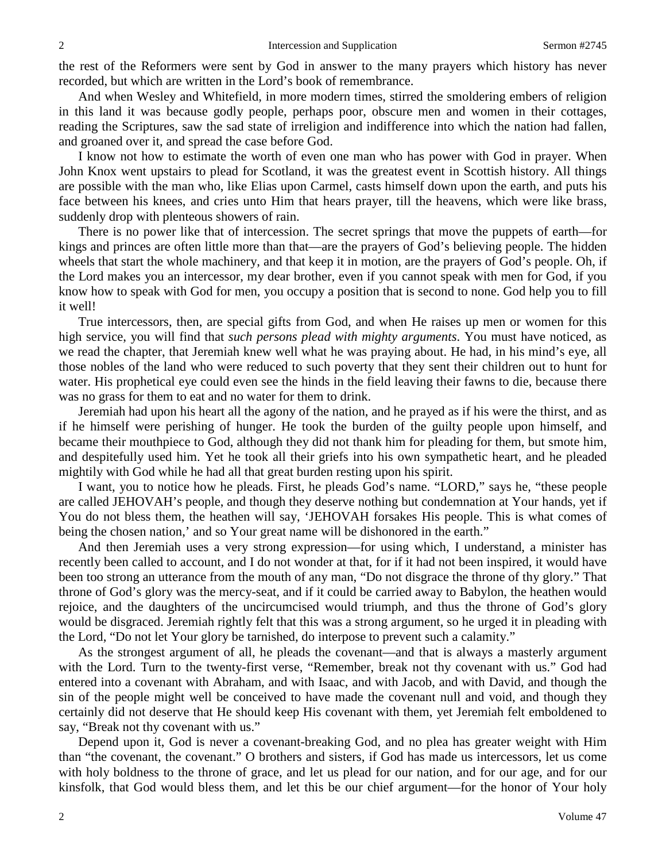the rest of the Reformers were sent by God in answer to the many prayers which history has never recorded, but which are written in the Lord's book of remembrance.

And when Wesley and Whitefield, in more modern times, stirred the smoldering embers of religion in this land it was because godly people, perhaps poor, obscure men and women in their cottages, reading the Scriptures, saw the sad state of irreligion and indifference into which the nation had fallen, and groaned over it, and spread the case before God.

I know not how to estimate the worth of even one man who has power with God in prayer. When John Knox went upstairs to plead for Scotland, it was the greatest event in Scottish history. All things are possible with the man who, like Elias upon Carmel, casts himself down upon the earth, and puts his face between his knees, and cries unto Him that hears prayer, till the heavens, which were like brass, suddenly drop with plenteous showers of rain.

There is no power like that of intercession. The secret springs that move the puppets of earth—for kings and princes are often little more than that—are the prayers of God's believing people. The hidden wheels that start the whole machinery, and that keep it in motion, are the prayers of God's people. Oh, if the Lord makes you an intercessor, my dear brother, even if you cannot speak with men for God, if you know how to speak with God for men, you occupy a position that is second to none. God help you to fill it well!

True intercessors, then, are special gifts from God, and when He raises up men or women for this high service, you will find that *such persons plead with mighty arguments*. You must have noticed, as we read the chapter, that Jeremiah knew well what he was praying about. He had, in his mind's eye, all those nobles of the land who were reduced to such poverty that they sent their children out to hunt for water. His prophetical eye could even see the hinds in the field leaving their fawns to die, because there was no grass for them to eat and no water for them to drink.

Jeremiah had upon his heart all the agony of the nation, and he prayed as if his were the thirst, and as if he himself were perishing of hunger. He took the burden of the guilty people upon himself, and became their mouthpiece to God, although they did not thank him for pleading for them, but smote him, and despitefully used him. Yet he took all their griefs into his own sympathetic heart, and he pleaded mightily with God while he had all that great burden resting upon his spirit.

I want, you to notice how he pleads. First, he pleads God's name. "LORD," says he, "these people are called JEHOVAH's people, and though they deserve nothing but condemnation at Your hands, yet if You do not bless them, the heathen will say, 'JEHOVAH forsakes His people. This is what comes of being the chosen nation,' and so Your great name will be dishonored in the earth."

And then Jeremiah uses a very strong expression—for using which, I understand, a minister has recently been called to account, and I do not wonder at that, for if it had not been inspired, it would have been too strong an utterance from the mouth of any man, "Do not disgrace the throne of thy glory." That throne of God's glory was the mercy-seat, and if it could be carried away to Babylon, the heathen would rejoice, and the daughters of the uncircumcised would triumph, and thus the throne of God's glory would be disgraced. Jeremiah rightly felt that this was a strong argument, so he urged it in pleading with the Lord, "Do not let Your glory be tarnished, do interpose to prevent such a calamity."

As the strongest argument of all, he pleads the covenant—and that is always a masterly argument with the Lord. Turn to the twenty-first verse, "Remember, break not thy covenant with us." God had entered into a covenant with Abraham, and with Isaac, and with Jacob, and with David, and though the sin of the people might well be conceived to have made the covenant null and void, and though they certainly did not deserve that He should keep His covenant with them, yet Jeremiah felt emboldened to say, "Break not thy covenant with us."

Depend upon it, God is never a covenant-breaking God, and no plea has greater weight with Him than "the covenant, the covenant." O brothers and sisters, if God has made us intercessors, let us come with holy boldness to the throne of grace, and let us plead for our nation, and for our age, and for our kinsfolk, that God would bless them, and let this be our chief argument—for the honor of Your holy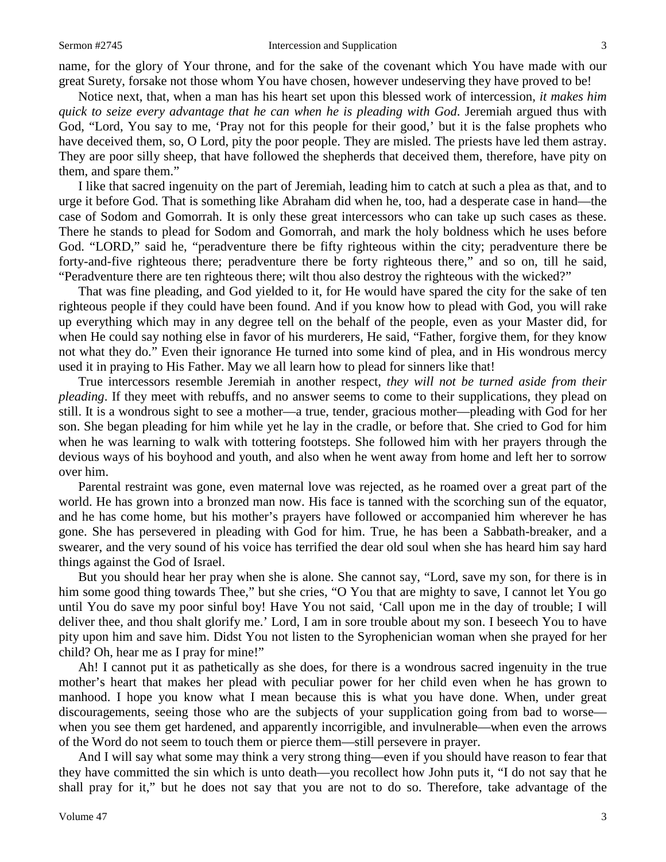#### Sermon #2745 **Intercession and Supplication** 3

name, for the glory of Your throne, and for the sake of the covenant which You have made with our great Surety, forsake not those whom You have chosen, however undeserving they have proved to be!

Notice next, that, when a man has his heart set upon this blessed work of intercession, *it makes him quick to seize every advantage that he can when he is pleading with God*. Jeremiah argued thus with God, "Lord, You say to me, 'Pray not for this people for their good,' but it is the false prophets who have deceived them, so, O Lord, pity the poor people. They are misled. The priests have led them astray. They are poor silly sheep, that have followed the shepherds that deceived them, therefore, have pity on them, and spare them."

I like that sacred ingenuity on the part of Jeremiah, leading him to catch at such a plea as that, and to urge it before God. That is something like Abraham did when he, too, had a desperate case in hand—the case of Sodom and Gomorrah. It is only these great intercessors who can take up such cases as these. There he stands to plead for Sodom and Gomorrah, and mark the holy boldness which he uses before God. "LORD," said he, "peradventure there be fifty righteous within the city; peradventure there be forty-and-five righteous there; peradventure there be forty righteous there," and so on, till he said, "Peradventure there are ten righteous there; wilt thou also destroy the righteous with the wicked?"

That was fine pleading, and God yielded to it, for He would have spared the city for the sake of ten righteous people if they could have been found. And if you know how to plead with God, you will rake up everything which may in any degree tell on the behalf of the people, even as your Master did, for when He could say nothing else in favor of his murderers, He said, "Father, forgive them, for they know not what they do." Even their ignorance He turned into some kind of plea, and in His wondrous mercy used it in praying to His Father. May we all learn how to plead for sinners like that!

True intercessors resemble Jeremiah in another respect, *they will not be turned aside from their pleading*. If they meet with rebuffs, and no answer seems to come to their supplications, they plead on still. It is a wondrous sight to see a mother—a true, tender, gracious mother—pleading with God for her son. She began pleading for him while yet he lay in the cradle, or before that. She cried to God for him when he was learning to walk with tottering footsteps. She followed him with her prayers through the devious ways of his boyhood and youth, and also when he went away from home and left her to sorrow over him.

Parental restraint was gone, even maternal love was rejected, as he roamed over a great part of the world. He has grown into a bronzed man now. His face is tanned with the scorching sun of the equator, and he has come home, but his mother's prayers have followed or accompanied him wherever he has gone. She has persevered in pleading with God for him. True, he has been a Sabbath-breaker, and a swearer, and the very sound of his voice has terrified the dear old soul when she has heard him say hard things against the God of Israel.

But you should hear her pray when she is alone. She cannot say, "Lord, save my son, for there is in him some good thing towards Thee," but she cries, "O You that are mighty to save, I cannot let You go until You do save my poor sinful boy! Have You not said, 'Call upon me in the day of trouble; I will deliver thee, and thou shalt glorify me.' Lord, I am in sore trouble about my son. I beseech You to have pity upon him and save him. Didst You not listen to the Syrophenician woman when she prayed for her child? Oh, hear me as I pray for mine!"

Ah! I cannot put it as pathetically as she does, for there is a wondrous sacred ingenuity in the true mother's heart that makes her plead with peculiar power for her child even when he has grown to manhood. I hope you know what I mean because this is what you have done. When, under great discouragements, seeing those who are the subjects of your supplication going from bad to worse when you see them get hardened, and apparently incorrigible, and invulnerable—when even the arrows of the Word do not seem to touch them or pierce them—still persevere in prayer.

And I will say what some may think a very strong thing—even if you should have reason to fear that they have committed the sin which is unto death—you recollect how John puts it, "I do not say that he shall pray for it," but he does not say that you are not to do so. Therefore, take advantage of the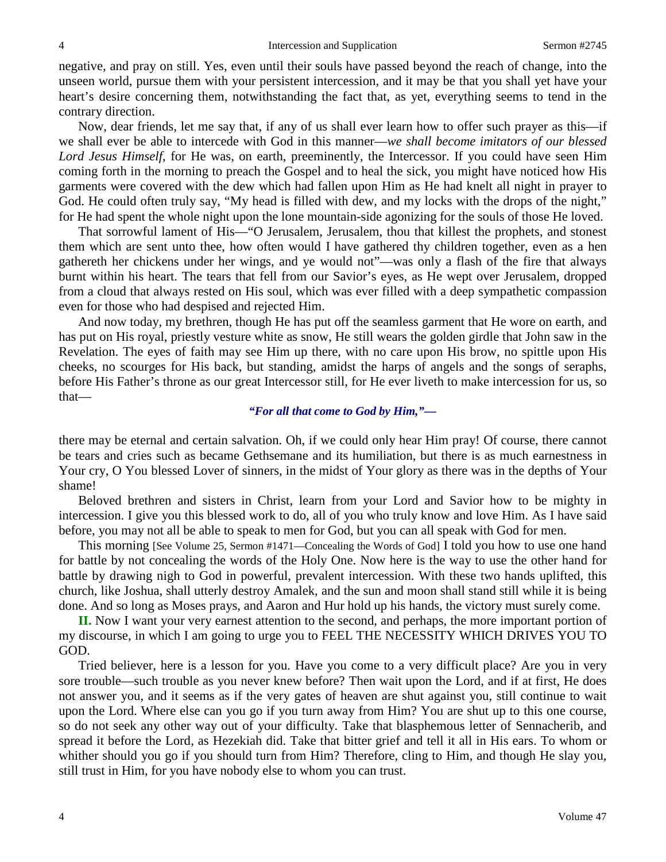negative, and pray on still. Yes, even until their souls have passed beyond the reach of change, into the unseen world, pursue them with your persistent intercession, and it may be that you shall yet have your heart's desire concerning them, notwithstanding the fact that, as yet, everything seems to tend in the contrary direction.

Now, dear friends, let me say that, if any of us shall ever learn how to offer such prayer as this—if we shall ever be able to intercede with God in this manner—*we shall become imitators of our blessed Lord Jesus Himself*, for He was, on earth, preeminently, the Intercessor. If you could have seen Him coming forth in the morning to preach the Gospel and to heal the sick, you might have noticed how His garments were covered with the dew which had fallen upon Him as He had knelt all night in prayer to God. He could often truly say, "My head is filled with dew, and my locks with the drops of the night," for He had spent the whole night upon the lone mountain-side agonizing for the souls of those He loved.

That sorrowful lament of His—"O Jerusalem, Jerusalem, thou that killest the prophets, and stonest them which are sent unto thee, how often would I have gathered thy children together, even as a hen gathereth her chickens under her wings, and ye would not"—was only a flash of the fire that always burnt within his heart. The tears that fell from our Savior's eyes, as He wept over Jerusalem, dropped from a cloud that always rested on His soul, which was ever filled with a deep sympathetic compassion even for those who had despised and rejected Him.

And now today, my brethren, though He has put off the seamless garment that He wore on earth, and has put on His royal, priestly vesture white as snow, He still wears the golden girdle that John saw in the Revelation. The eyes of faith may see Him up there, with no care upon His brow, no spittle upon His cheeks, no scourges for His back, but standing, amidst the harps of angels and the songs of seraphs, before His Father's throne as our great Intercessor still, for He ever liveth to make intercession for us, so that—

### *"For all that come to God by Him,"—*

there may be eternal and certain salvation. Oh, if we could only hear Him pray! Of course, there cannot be tears and cries such as became Gethsemane and its humiliation, but there is as much earnestness in Your cry, O You blessed Lover of sinners, in the midst of Your glory as there was in the depths of Your shame!

Beloved brethren and sisters in Christ, learn from your Lord and Savior how to be mighty in intercession. I give you this blessed work to do, all of you who truly know and love Him. As I have said before, you may not all be able to speak to men for God, but you can all speak with God for men.

This morning [See Volume 25, Sermon #1471—Concealing the Words of God] I told you how to use one hand for battle by not concealing the words of the Holy One. Now here is the way to use the other hand for battle by drawing nigh to God in powerful, prevalent intercession. With these two hands uplifted, this church, like Joshua, shall utterly destroy Amalek, and the sun and moon shall stand still while it is being done. And so long as Moses prays, and Aaron and Hur hold up his hands, the victory must surely come.

**II.** Now I want your very earnest attention to the second, and perhaps, the more important portion of my discourse, in which I am going to urge you to FEEL THE NECESSITY WHICH DRIVES YOU TO GOD.

Tried believer, here is a lesson for you. Have you come to a very difficult place? Are you in very sore trouble—such trouble as you never knew before? Then wait upon the Lord, and if at first, He does not answer you, and it seems as if the very gates of heaven are shut against you, still continue to wait upon the Lord. Where else can you go if you turn away from Him? You are shut up to this one course, so do not seek any other way out of your difficulty. Take that blasphemous letter of Sennacherib, and spread it before the Lord, as Hezekiah did. Take that bitter grief and tell it all in His ears. To whom or whither should you go if you should turn from Him? Therefore, cling to Him, and though He slay you, still trust in Him, for you have nobody else to whom you can trust.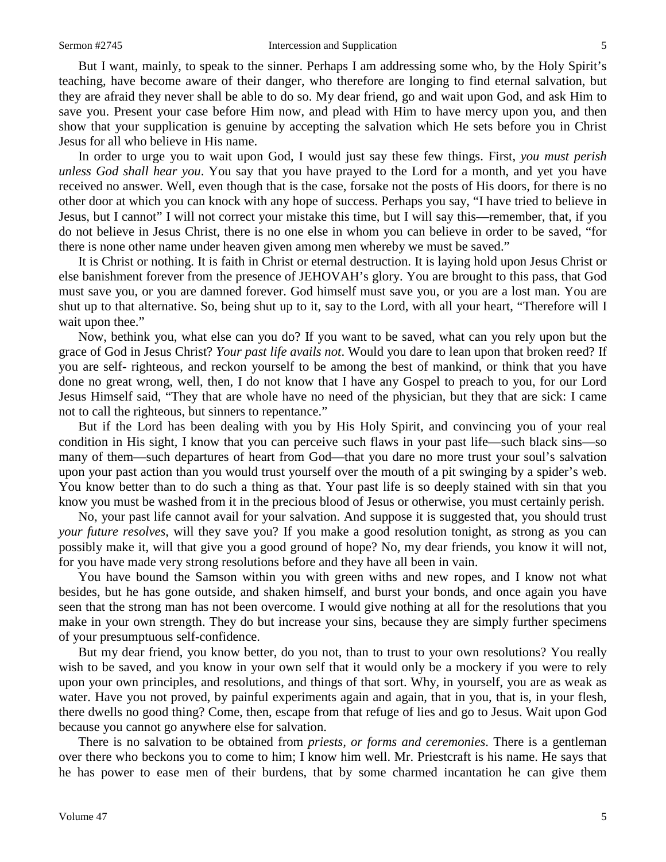But I want, mainly, to speak to the sinner. Perhaps I am addressing some who, by the Holy Spirit's teaching, have become aware of their danger, who therefore are longing to find eternal salvation, but they are afraid they never shall be able to do so. My dear friend, go and wait upon God, and ask Him to save you. Present your case before Him now, and plead with Him to have mercy upon you, and then show that your supplication is genuine by accepting the salvation which He sets before you in Christ Jesus for all who believe in His name.

In order to urge you to wait upon God, I would just say these few things. First, *you must perish unless God shall hear you*. You say that you have prayed to the Lord for a month, and yet you have received no answer. Well, even though that is the case, forsake not the posts of His doors, for there is no other door at which you can knock with any hope of success. Perhaps you say, "I have tried to believe in Jesus, but I cannot" I will not correct your mistake this time, but I will say this—remember, that, if you do not believe in Jesus Christ, there is no one else in whom you can believe in order to be saved, "for there is none other name under heaven given among men whereby we must be saved."

It is Christ or nothing. It is faith in Christ or eternal destruction. It is laying hold upon Jesus Christ or else banishment forever from the presence of JEHOVAH's glory. You are brought to this pass, that God must save you, or you are damned forever. God himself must save you, or you are a lost man. You are shut up to that alternative. So, being shut up to it, say to the Lord, with all your heart, "Therefore will I wait upon thee."

Now, bethink you, what else can you do? If you want to be saved, what can you rely upon but the grace of God in Jesus Christ? *Your past life avails not*. Would you dare to lean upon that broken reed? If you are self- righteous, and reckon yourself to be among the best of mankind, or think that you have done no great wrong, well, then, I do not know that I have any Gospel to preach to you, for our Lord Jesus Himself said, "They that are whole have no need of the physician, but they that are sick: I came not to call the righteous, but sinners to repentance."

But if the Lord has been dealing with you by His Holy Spirit, and convincing you of your real condition in His sight, I know that you can perceive such flaws in your past life—such black sins—so many of them—such departures of heart from God—that you dare no more trust your soul's salvation upon your past action than you would trust yourself over the mouth of a pit swinging by a spider's web. You know better than to do such a thing as that. Your past life is so deeply stained with sin that you know you must be washed from it in the precious blood of Jesus or otherwise, you must certainly perish.

No, your past life cannot avail for your salvation. And suppose it is suggested that, you should trust *your future resolves*, will they save you? If you make a good resolution tonight, as strong as you can possibly make it, will that give you a good ground of hope? No, my dear friends, you know it will not, for you have made very strong resolutions before and they have all been in vain.

You have bound the Samson within you with green withs and new ropes, and I know not what besides, but he has gone outside, and shaken himself, and burst your bonds, and once again you have seen that the strong man has not been overcome. I would give nothing at all for the resolutions that you make in your own strength. They do but increase your sins, because they are simply further specimens of your presumptuous self-confidence.

But my dear friend, you know better, do you not, than to trust to your own resolutions? You really wish to be saved, and you know in your own self that it would only be a mockery if you were to rely upon your own principles, and resolutions, and things of that sort. Why, in yourself, you are as weak as water. Have you not proved, by painful experiments again and again, that in you, that is, in your flesh, there dwells no good thing? Come, then, escape from that refuge of lies and go to Jesus. Wait upon God because you cannot go anywhere else for salvation.

There is no salvation to be obtained from *priests, or forms and ceremonies*. There is a gentleman over there who beckons you to come to him; I know him well. Mr. Priestcraft is his name. He says that he has power to ease men of their burdens, that by some charmed incantation he can give them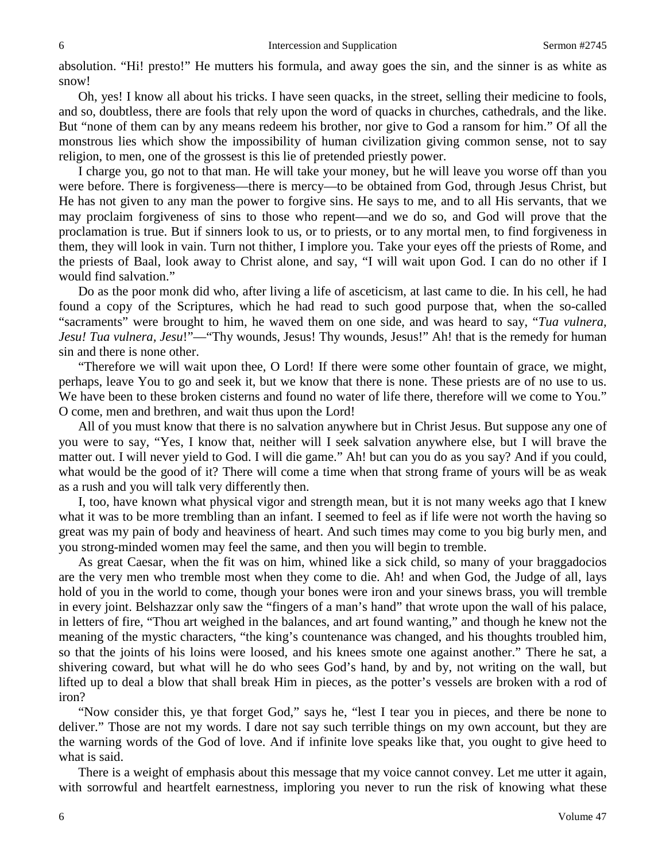absolution. "Hi! presto!" He mutters his formula, and away goes the sin, and the sinner is as white as snow!

Oh, yes! I know all about his tricks. I have seen quacks, in the street, selling their medicine to fools, and so, doubtless, there are fools that rely upon the word of quacks in churches, cathedrals, and the like. But "none of them can by any means redeem his brother, nor give to God a ransom for him." Of all the monstrous lies which show the impossibility of human civilization giving common sense, not to say religion, to men, one of the grossest is this lie of pretended priestly power.

I charge you, go not to that man. He will take your money, but he will leave you worse off than you were before. There is forgiveness—there is mercy—to be obtained from God, through Jesus Christ, but He has not given to any man the power to forgive sins. He says to me, and to all His servants, that we may proclaim forgiveness of sins to those who repent—and we do so, and God will prove that the proclamation is true. But if sinners look to us, or to priests, or to any mortal men, to find forgiveness in them, they will look in vain. Turn not thither, I implore you. Take your eyes off the priests of Rome, and the priests of Baal, look away to Christ alone, and say, "I will wait upon God. I can do no other if I would find salvation."

Do as the poor monk did who, after living a life of asceticism, at last came to die. In his cell, he had found a copy of the Scriptures, which he had read to such good purpose that, when the so-called "sacraments" were brought to him, he waved them on one side, and was heard to say, "*Tua vulnera, Jesu! Tua vulnera, Jesu!"—"Thy wounds, Jesus! Thy wounds, Jesus!" Ah! that is the remedy for human* sin and there is none other.

"Therefore we will wait upon thee, O Lord! If there were some other fountain of grace, we might, perhaps, leave You to go and seek it, but we know that there is none. These priests are of no use to us. We have been to these broken cisterns and found no water of life there, therefore will we come to You." O come, men and brethren, and wait thus upon the Lord!

All of you must know that there is no salvation anywhere but in Christ Jesus. But suppose any one of you were to say, "Yes, I know that, neither will I seek salvation anywhere else, but I will brave the matter out. I will never yield to God. I will die game." Ah! but can you do as you say? And if you could, what would be the good of it? There will come a time when that strong frame of yours will be as weak as a rush and you will talk very differently then.

I, too, have known what physical vigor and strength mean, but it is not many weeks ago that I knew what it was to be more trembling than an infant. I seemed to feel as if life were not worth the having so great was my pain of body and heaviness of heart. And such times may come to you big burly men, and you strong-minded women may feel the same, and then you will begin to tremble.

As great Caesar, when the fit was on him, whined like a sick child, so many of your braggadocios are the very men who tremble most when they come to die. Ah! and when God, the Judge of all, lays hold of you in the world to come, though your bones were iron and your sinews brass, you will tremble in every joint. Belshazzar only saw the "fingers of a man's hand" that wrote upon the wall of his palace, in letters of fire, "Thou art weighed in the balances, and art found wanting," and though he knew not the meaning of the mystic characters, "the king's countenance was changed, and his thoughts troubled him, so that the joints of his loins were loosed, and his knees smote one against another." There he sat, a shivering coward, but what will he do who sees God's hand, by and by, not writing on the wall, but lifted up to deal a blow that shall break Him in pieces, as the potter's vessels are broken with a rod of iron?

"Now consider this, ye that forget God," says he, "lest I tear you in pieces, and there be none to deliver." Those are not my words. I dare not say such terrible things on my own account, but they are the warning words of the God of love. And if infinite love speaks like that, you ought to give heed to what is said.

There is a weight of emphasis about this message that my voice cannot convey. Let me utter it again, with sorrowful and heartfelt earnestness, imploring you never to run the risk of knowing what these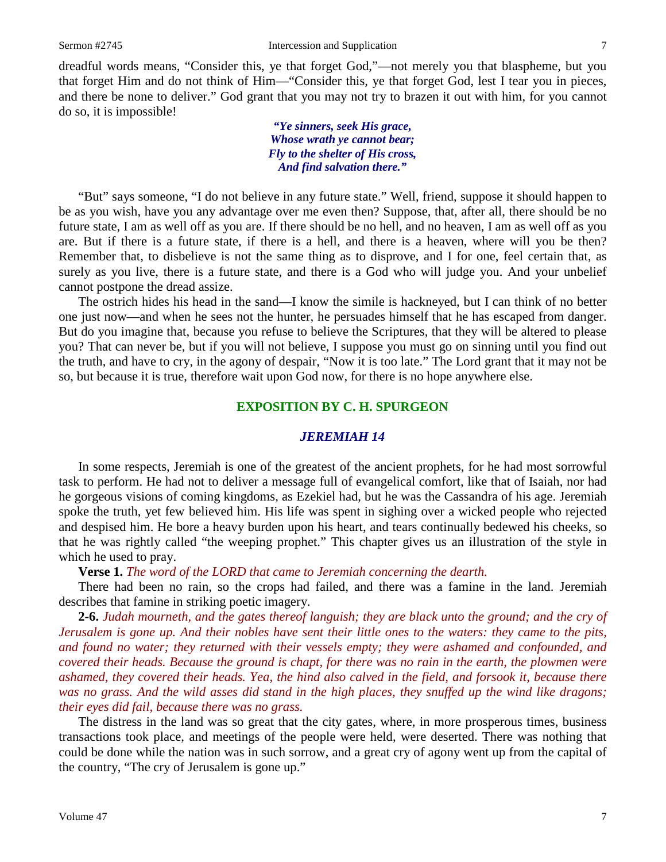dreadful words means, "Consider this, ye that forget God,"—not merely you that blaspheme, but you that forget Him and do not think of Him—"Consider this, ye that forget God, lest I tear you in pieces, and there be none to deliver." God grant that you may not try to brazen it out with him, for you cannot do so, it is impossible!

> *"Ye sinners, seek His grace, Whose wrath ye cannot bear; Fly to the shelter of His cross, And find salvation there."*

"But" says someone, "I do not believe in any future state." Well, friend, suppose it should happen to be as you wish, have you any advantage over me even then? Suppose, that, after all, there should be no future state, I am as well off as you are. If there should be no hell, and no heaven, I am as well off as you are. But if there is a future state, if there is a hell, and there is a heaven, where will you be then? Remember that, to disbelieve is not the same thing as to disprove, and I for one, feel certain that, as surely as you live, there is a future state, and there is a God who will judge you. And your unbelief cannot postpone the dread assize.

The ostrich hides his head in the sand—I know the simile is hackneyed, but I can think of no better one just now—and when he sees not the hunter, he persuades himself that he has escaped from danger. But do you imagine that, because you refuse to believe the Scriptures, that they will be altered to please you? That can never be, but if you will not believe, I suppose you must go on sinning until you find out the truth, and have to cry, in the agony of despair, "Now it is too late." The Lord grant that it may not be so, but because it is true, therefore wait upon God now, for there is no hope anywhere else.

## **EXPOSITION BY C. H. SPURGEON**

## *JEREMIAH 14*

In some respects, Jeremiah is one of the greatest of the ancient prophets, for he had most sorrowful task to perform. He had not to deliver a message full of evangelical comfort, like that of Isaiah, nor had he gorgeous visions of coming kingdoms, as Ezekiel had, but he was the Cassandra of his age. Jeremiah spoke the truth, yet few believed him. His life was spent in sighing over a wicked people who rejected and despised him. He bore a heavy burden upon his heart, and tears continually bedewed his cheeks, so that he was rightly called "the weeping prophet." This chapter gives us an illustration of the style in which he used to pray.

**Verse 1.** *The word of the LORD that came to Jeremiah concerning the dearth.*

There had been no rain, so the crops had failed, and there was a famine in the land. Jeremiah describes that famine in striking poetic imagery.

**2-6.** *Judah mourneth, and the gates thereof languish; they are black unto the ground; and the cry of Jerusalem is gone up. And their nobles have sent their little ones to the waters: they came to the pits, and found no water; they returned with their vessels empty; they were ashamed and confounded, and covered their heads. Because the ground is chapt, for there was no rain in the earth, the plowmen were ashamed, they covered their heads. Yea, the hind also calved in the field, and forsook it, because there*  was no grass. And the wild asses did stand in the high places, they snuffed up the wind like dragons; *their eyes did fail, because there was no grass.*

The distress in the land was so great that the city gates, where, in more prosperous times, business transactions took place, and meetings of the people were held, were deserted. There was nothing that could be done while the nation was in such sorrow, and a great cry of agony went up from the capital of the country, "The cry of Jerusalem is gone up."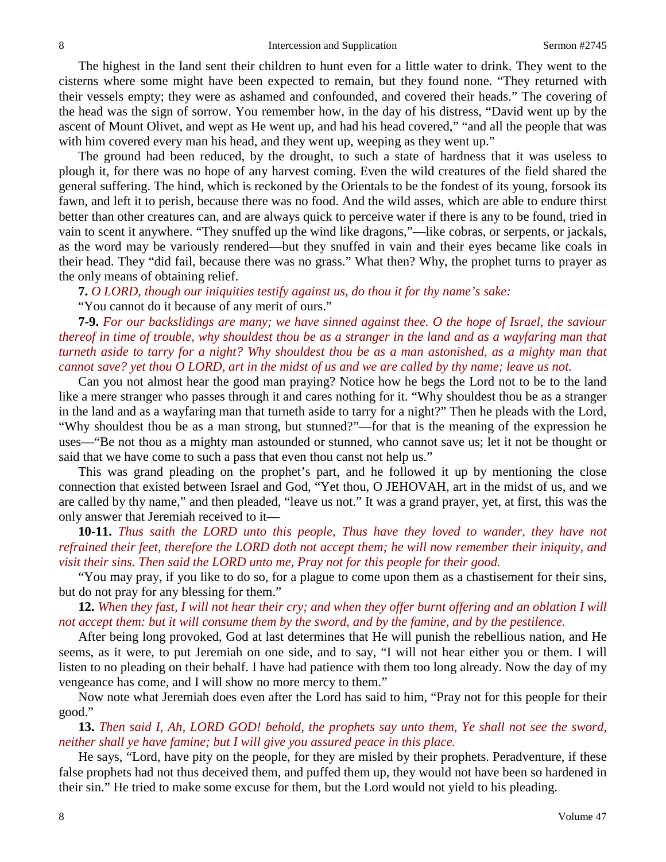The highest in the land sent their children to hunt even for a little water to drink. They went to the cisterns where some might have been expected to remain, but they found none. "They returned with their vessels empty; they were as ashamed and confounded, and covered their heads." The covering of the head was the sign of sorrow. You remember how, in the day of his distress, "David went up by the ascent of Mount Olivet, and wept as He went up, and had his head covered," "and all the people that was with him covered every man his head, and they went up, weeping as they went up."

The ground had been reduced, by the drought, to such a state of hardness that it was useless to plough it, for there was no hope of any harvest coming. Even the wild creatures of the field shared the general suffering. The hind, which is reckoned by the Orientals to be the fondest of its young, forsook its fawn, and left it to perish, because there was no food. And the wild asses, which are able to endure thirst better than other creatures can, and are always quick to perceive water if there is any to be found, tried in vain to scent it anywhere. "They snuffed up the wind like dragons,"—like cobras, or serpents, or jackals, as the word may be variously rendered—but they snuffed in vain and their eyes became like coals in their head. They "did fail, because there was no grass." What then? Why, the prophet turns to prayer as the only means of obtaining relief.

**7.** *O LORD, though our iniquities testify against us, do thou it for thy name's sake:*

"You cannot do it because of any merit of ours."

**7-9.** *For our backslidings are many; we have sinned against thee. O the hope of Israel, the saviour thereof in time of trouble, why shouldest thou be as a stranger in the land and as a wayfaring man that turneth aside to tarry for a night? Why shouldest thou be as a man astonished, as a mighty man that cannot save? yet thou O LORD, art in the midst of us and we are called by thy name; leave us not.*

Can you not almost hear the good man praying? Notice how he begs the Lord not to be to the land like a mere stranger who passes through it and cares nothing for it. "Why shouldest thou be as a stranger in the land and as a wayfaring man that turneth aside to tarry for a night?" Then he pleads with the Lord, "Why shouldest thou be as a man strong, but stunned?"—for that is the meaning of the expression he uses—"Be not thou as a mighty man astounded or stunned, who cannot save us; let it not be thought or said that we have come to such a pass that even thou canst not help us."

This was grand pleading on the prophet's part, and he followed it up by mentioning the close connection that existed between Israel and God, "Yet thou, O JEHOVAH, art in the midst of us, and we are called by thy name," and then pleaded, "leave us not." It was a grand prayer, yet, at first, this was the only answer that Jeremiah received to it—

**10-11.** *Thus saith the LORD unto this people, Thus have they loved to wander, they have not refrained their feet, therefore the LORD doth not accept them; he will now remember their iniquity, and visit their sins. Then said the LORD unto me, Pray not for this people for their good.*

"You may pray, if you like to do so, for a plague to come upon them as a chastisement for their sins, but do not pray for any blessing for them."

**12.** *When they fast, I will not hear their cry; and when they offer burnt offering and an oblation I will not accept them: but it will consume them by the sword, and by the famine, and by the pestilence.*

After being long provoked, God at last determines that He will punish the rebellious nation, and He seems, as it were, to put Jeremiah on one side, and to say, "I will not hear either you or them. I will listen to no pleading on their behalf. I have had patience with them too long already. Now the day of my vengeance has come, and I will show no more mercy to them."

Now note what Jeremiah does even after the Lord has said to him, "Pray not for this people for their good."

**13.** *Then said I, Ah, LORD GOD! behold, the prophets say unto them, Ye shall not see the sword, neither shall ye have famine; but I will give you assured peace in this place.*

He says, "Lord, have pity on the people, for they are misled by their prophets. Peradventure, if these false prophets had not thus deceived them, and puffed them up, they would not have been so hardened in their sin." He tried to make some excuse for them, but the Lord would not yield to his pleading.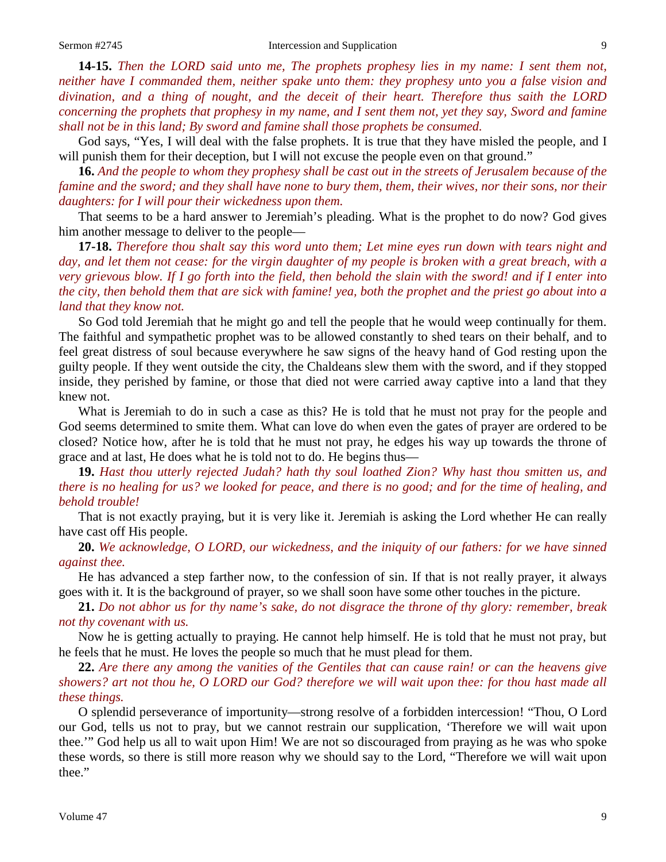**14-15.** *Then the LORD said unto me, The prophets prophesy lies in my name: I sent them not, neither have I commanded them, neither spake unto them: they prophesy unto you a false vision and divination, and a thing of nought, and the deceit of their heart. Therefore thus saith the LORD concerning the prophets that prophesy in my name, and I sent them not, yet they say, Sword and famine shall not be in this land; By sword and famine shall those prophets be consumed.*

God says, "Yes, I will deal with the false prophets. It is true that they have misled the people, and I will punish them for their deception, but I will not excuse the people even on that ground."

**16.** *And the people to whom they prophesy shall be cast out in the streets of Jerusalem because of the famine and the sword; and they shall have none to bury them, them, their wives, nor their sons, nor their daughters: for I will pour their wickedness upon them.*

That seems to be a hard answer to Jeremiah's pleading. What is the prophet to do now? God gives him another message to deliver to the people—

**17-18.** *Therefore thou shalt say this word unto them; Let mine eyes run down with tears night and day, and let them not cease: for the virgin daughter of my people is broken with a great breach, with a very grievous blow. If I go forth into the field, then behold the slain with the sword! and if I enter into the city, then behold them that are sick with famine! yea, both the prophet and the priest go about into a land that they know not.*

So God told Jeremiah that he might go and tell the people that he would weep continually for them. The faithful and sympathetic prophet was to be allowed constantly to shed tears on their behalf, and to feel great distress of soul because everywhere he saw signs of the heavy hand of God resting upon the guilty people. If they went outside the city, the Chaldeans slew them with the sword, and if they stopped inside, they perished by famine, or those that died not were carried away captive into a land that they knew not.

What is Jeremiah to do in such a case as this? He is told that he must not pray for the people and God seems determined to smite them. What can love do when even the gates of prayer are ordered to be closed? Notice how, after he is told that he must not pray, he edges his way up towards the throne of grace and at last, He does what he is told not to do. He begins thus—

**19.** *Hast thou utterly rejected Judah? hath thy soul loathed Zion? Why hast thou smitten us, and there is no healing for us? we looked for peace, and there is no good; and for the time of healing, and behold trouble!*

That is not exactly praying, but it is very like it. Jeremiah is asking the Lord whether He can really have cast off His people.

**20.** *We acknowledge, O LORD, our wickedness, and the iniquity of our fathers: for we have sinned against thee.*

He has advanced a step farther now, to the confession of sin. If that is not really prayer, it always goes with it. It is the background of prayer, so we shall soon have some other touches in the picture.

**21.** *Do not abhor us for thy name's sake, do not disgrace the throne of thy glory: remember, break not thy covenant with us.*

Now he is getting actually to praying. He cannot help himself. He is told that he must not pray, but he feels that he must. He loves the people so much that he must plead for them.

**22.** *Are there any among the vanities of the Gentiles that can cause rain! or can the heavens give showers? art not thou he, O LORD our God? therefore we will wait upon thee: for thou hast made all these things.*

O splendid perseverance of importunity—strong resolve of a forbidden intercession! "Thou, O Lord our God, tells us not to pray, but we cannot restrain our supplication, 'Therefore we will wait upon thee.'" God help us all to wait upon Him! We are not so discouraged from praying as he was who spoke these words, so there is still more reason why we should say to the Lord, "Therefore we will wait upon thee."